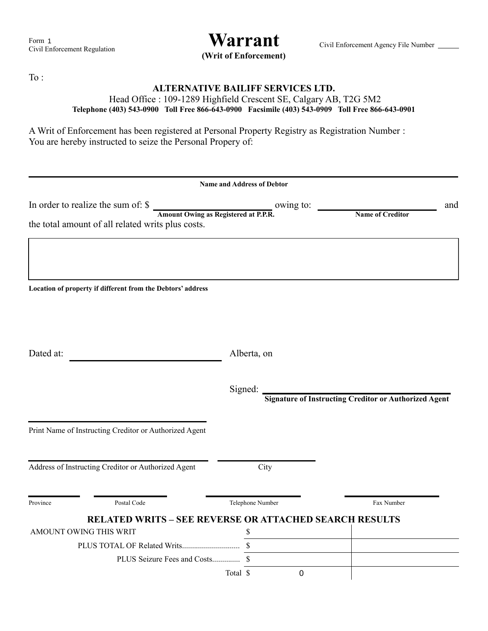**(Writ of Enforcement)**

To :

## **ALTERNATIVE BAILIFF SERVICES LTD.**

## Head Office : 109-1289 Highfield Crescent SE, Calgary AB, T2G 5M2 **Telephone (403) 543-0900 Toll Free 866-643-0900 Facsimile (403) 543-0909 Toll Free 866-643-0901**

A Writ of Enforcement has been registered at Personal Property Registry as Registration Number : You are hereby instructed to seize the Personal Propery of:

|                                                     |                                                               | <b>Name and Address of Debtor</b>                                                   |             |                                                              |
|-----------------------------------------------------|---------------------------------------------------------------|-------------------------------------------------------------------------------------|-------------|--------------------------------------------------------------|
| In order to realize the sum of: \$                  | the total amount of all related writs plus costs.             | Amount Owing as Registered at P.P.R.<br><b>Amount Owing as Registered at P.P.R.</b> |             | and<br><b>Name of Creditor</b>                               |
|                                                     |                                                               |                                                                                     |             |                                                              |
|                                                     | Location of property if different from the Debtors' address   |                                                                                     |             |                                                              |
|                                                     |                                                               |                                                                                     |             |                                                              |
| Dated at:                                           |                                                               | Alberta, on                                                                         |             |                                                              |
|                                                     |                                                               | Signed:                                                                             |             | <b>Signature of Instructing Creditor or Authorized Agent</b> |
|                                                     | Print Name of Instructing Creditor or Authorized Agent        |                                                                                     |             |                                                              |
| Address of Instructing Creditor or Authorized Agent |                                                               | City                                                                                |             |                                                              |
| Province                                            | Postal Code                                                   | Telephone Number                                                                    |             | Fax Number                                                   |
|                                                     | <b>RELATED WRITS - SEE REVERSE OR ATTACHED SEARCH RESULTS</b> |                                                                                     |             |                                                              |
| AMOUNT OWING THIS WRIT                              |                                                               | \$                                                                                  |             |                                                              |
|                                                     |                                                               |                                                                                     |             |                                                              |
|                                                     |                                                               |                                                                                     |             |                                                              |
|                                                     |                                                               | Total \$                                                                            | $\mathbf 0$ |                                                              |